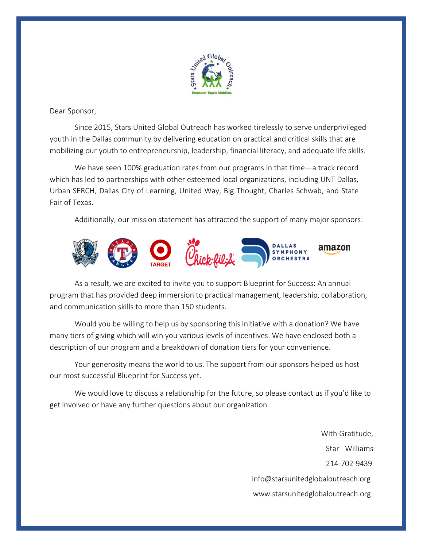

Dear Sponsor,

Since 2015, Stars United Global Outreach has worked tirelessly to serve underprivileged youth in the Dallas community by delivering education on practical and critical skills that are mobilizing our youth to entrepreneurship, leadership, financial literacy, and adequate life skills.

We have seen 100% graduation rates from our programs in that time—a track record which has led to partnerships with other esteemed local organizations, including UNT Dallas, Urban SERCH, Dallas City of Learning, United Way, Big Thought, Charles Schwab, and State Fair of Texas.

Additionally, our mission statement has attracted the support of many major sponsors:



As a result, we are excited to invite you to support Blueprint for Success: An annual program that has provided deep immersion to practical management, leadership, collaboration, and communication skills to more than 150 students.

Would you be willing to help us by sponsoring this initiative with a donation? We have many tiers of giving which will win you various levels of incentives. We have enclosed both a description of our program and a breakdown of donation tiers for your convenience.

Your generosity means the world to us. The support from our sponsors helped us host our most successful Blueprint for Success yet.

We would love to discuss a relationship for the future, so please contact us if you'd like to get involved or have any further questions about our organization.

> With Gratitude, Star Williams 214-702-9439 [info@starsunitedglobaloutreach.org](mailto:info@starsunitedglobaloutreach.org) [www.starsunitedglobaloutreach.org](http://www.starsunitedglobaloutreach.org/)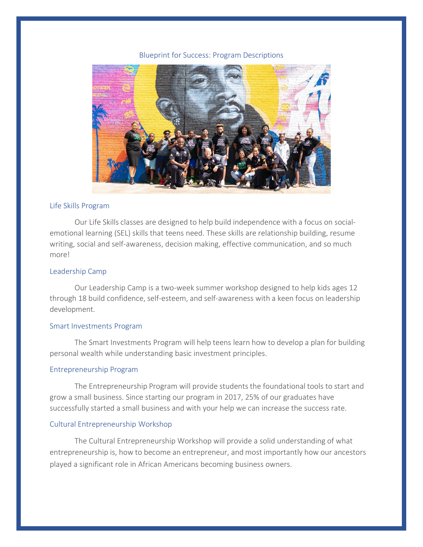#### Blueprint for Success: Program Descriptions



### Life Skills Program

Our Life Skills classes are designed to help build independence with a focus on socialemotional learning (SEL) skills that teens need. These skills are relationship building, resume writing, social and self-awareness, decision making, effective communication, and so much more!

# Leadership Camp

Our Leadership Camp is a two-week summer workshop designed to help kids ages 12 through 18 build confidence, self-esteem, and self-awareness with a keen focus on leadership development.

## Smart Investments Program

The Smart Investments Program will help teens learn how to develop a plan for building personal wealth while understanding basic investment principles.

## Entrepreneurship Program

The Entrepreneurship Program will provide students the foundational tools to start and grow a small business. Since starting our program in 2017, 25% of our graduates have successfully started a small business and with your help we can increase the success rate.

#### Cultural Entrepreneurship Workshop

The Cultural Entrepreneurship Workshop will provide a solid understanding of what entrepreneurship is, how to become an entrepreneur, and most importantly how our ancestors played a significant role in African Americans becoming business owners.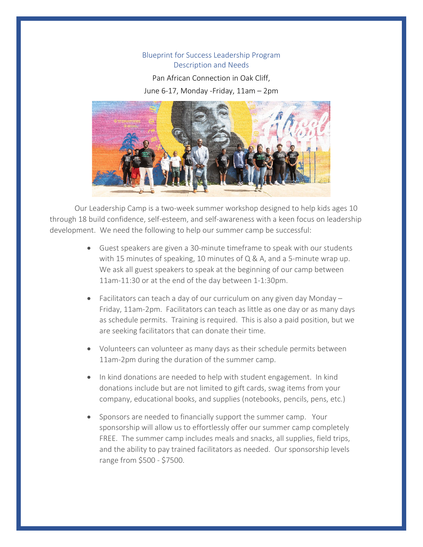# Blueprint for Success Leadership Program Description and Needs

Pan African Connection in Oak Cliff,

June 6-17, Monday -Friday, 11am – 2pm



Our Leadership Camp is a two-week summer workshop designed to help kids ages 10 through 18 build confidence, self-esteem, and self-awareness with a keen focus on leadership development. We need the following to help our summer camp be successful:

- Guest speakers are given a 30-minute timeframe to speak with our students with 15 minutes of speaking, 10 minutes of Q & A, and a 5-minute wrap up. We ask all guest speakers to speak at the beginning of our camp between 11am-11:30 or at the end of the day between 1-1:30pm.
- Facilitators can teach a day of our curriculum on any given day Monday Friday, 11am-2pm. Facilitators can teach as little as one day or as many days as schedule permits. Training is required. This is also a paid position, but we are seeking facilitators that can donate their time.
- Volunteers can volunteer as many days as their schedule permits between 11am-2pm during the duration of the summer camp.
- In kind donations are needed to help with student engagement. In kind donations include but are not limited to gift cards, swag items from your company, educational books, and supplies (notebooks, pencils, pens, etc.)
- Sponsors are needed to financially support the summer camp. Your sponsorship will allow us to effortlessly offer our summer camp completely FREE. The summer camp includes meals and snacks, all supplies, field trips, and the ability to pay trained facilitators as needed. Our sponsorship levels range from \$500 - \$7500.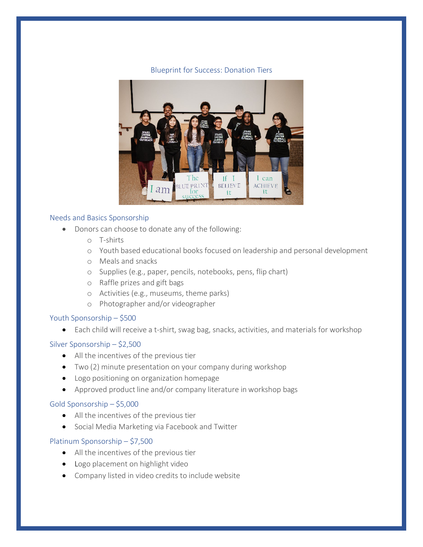### Blueprint for Success: Donation Tiers



#### Needs and Basics Sponsorship

- Donors can choose to donate any of the following:
	- o T-shirts
	- o Youth based educational books focused on leadership and personal development
	- o Meals and snacks
	- o Supplies (e.g., paper, pencils, notebooks, pens, flip chart)
	- o Raffle prizes and gift bags
	- o Activities (e.g., museums, theme parks)
	- o Photographer and/or videographer

# Youth Sponsorship – \$500

• Each child will receive a t-shirt, swag bag, snacks, activities, and materials for workshop

# Silver Sponsorship – \$2,500

- All the incentives of the previous tier
- Two (2) minute presentation on your company during workshop
- Logo positioning on organization homepage
- Approved product line and/or company literature in workshop bags

# Gold Sponsorship – \$5,000

- All the incentives of the previous tier
- Social Media Marketing via Facebook and Twitter

# Platinum Sponsorship – \$7,500

- All the incentives of the previous tier
- Logo placement on highlight video
- Company listed in video credits to include website